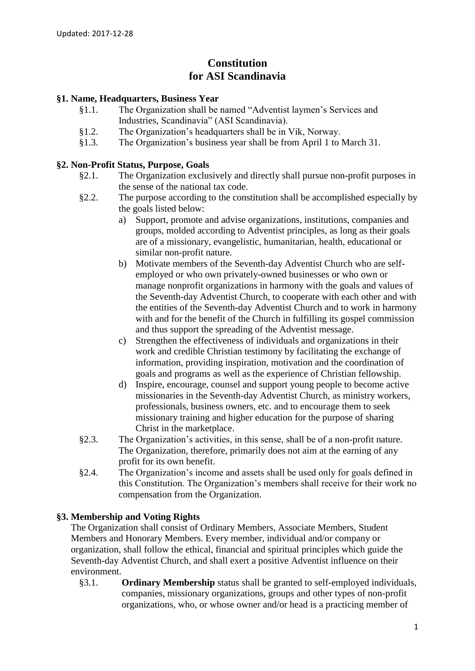# **Constitution for ASI Scandinavia**

## **§1. Name, Headquarters, Business Year**

- §1.1. The Organization shall be named "Adventist laymen's Services and Industries, Scandinavia" (ASI Scandinavia).
- §1.2. The Organization's headquarters shall be in Vik, Norway.
- §1.3. The Organization's business year shall be from April 1 to March 31.

#### **§2. Non-Profit Status, Purpose, Goals**

- §2.1. The Organization exclusively and directly shall pursue non-profit purposes in the sense of the national tax code.
- §2.2. The purpose according to the constitution shall be accomplished especially by the goals listed below:
	- a) Support, promote and advise organizations, institutions, companies and groups, molded according to Adventist principles, as long as their goals are of a missionary, evangelistic, humanitarian, health, educational or similar non-profit nature.
	- b) Motivate members of the Seventh-day Adventist Church who are selfemployed or who own privately-owned businesses or who own or manage nonprofit organizations in harmony with the goals and values of the Seventh-day Adventist Church, to cooperate with each other and with the entities of the Seventh-day Adventist Church and to work in harmony with and for the benefit of the Church in fulfilling its gospel commission and thus support the spreading of the Adventist message.
	- c) Strengthen the effectiveness of individuals and organizations in their work and credible Christian testimony by facilitating the exchange of information, providing inspiration, motivation and the coordination of goals and programs as well as the experience of Christian fellowship.
	- d) Inspire, encourage, counsel and support young people to become active missionaries in the Seventh-day Adventist Church, as ministry workers, professionals, business owners, etc. and to encourage them to seek missionary training and higher education for the purpose of sharing Christ in the marketplace.
- §2.3. The Organization's activities, in this sense, shall be of a non-profit nature. The Organization, therefore, primarily does not aim at the earning of any profit for its own benefit.
- §2.4. The Organization's income and assets shall be used only for goals defined in this Constitution. The Organization's members shall receive for their work no compensation from the Organization.

## **§3. Membership and Voting Rights**

The Organization shall consist of Ordinary Members, Associate Members, Student Members and Honorary Members. Every member, individual and/or company or organization, shall follow the ethical, financial and spiritual principles which guide the Seventh-day Adventist Church, and shall exert a positive Adventist influence on their environment.

§3.1. **Ordinary Membership** status shall be granted to self-employed individuals, companies, missionary organizations, groups and other types of non-profit organizations, who, or whose owner and/or head is a practicing member of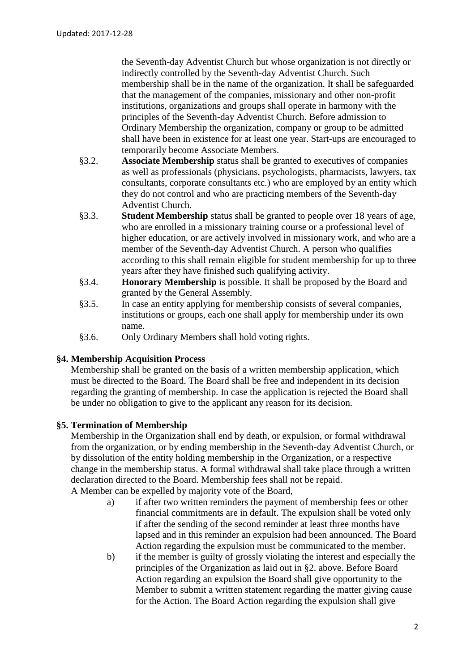the Seventh-day Adventist Church but whose organization is not directly or indirectly controlled by the Seventh-day Adventist Church. Such membership shall be in the name of the organization. It shall be safeguarded that the management of the companies, missionary and other non-profit institutions, organizations and groups shall operate in harmony with the principles of the Seventh-day Adventist Church. Before admission to Ordinary Membership the organization, company or group to be admitted shall have been in existence for at least one year. Start-ups are encouraged to temporarily become Associate Members.

- §3.2. **Associate Membership** status shall be granted to executives of companies as well as professionals (physicians, psychologists, pharmacists, lawyers, tax consultants, corporate consultants etc.) who are employed by an entity which they do not control and who are practicing members of the Seventh-day Adventist Church.
- §3.3. **Student Membership** status shall be granted to people over 18 years of age, who are enrolled in a missionary training course or a professional level of higher education, or are actively involved in missionary work, and who are a member of the Seventh-day Adventist Church. A person who qualifies according to this shall remain eligible for student membership for up to three years after they have finished such qualifying activity.
- §3.4. **Honorary Membership** is possible. It shall be proposed by the Board and granted by the General Assembly.
- §3.5. In case an entity applying for membership consists of several companies, institutions or groups, each one shall apply for membership under its own name.
- §3.6. Only Ordinary Members shall hold voting rights.

## **§4. Membership Acquisition Process**

Membership shall be granted on the basis of a written membership application, which must be directed to the Board. The Board shall be free and independent in its decision regarding the granting of membership. In case the application is rejected the Board shall be under no obligation to give to the applicant any reason for its decision.

## **§5. Termination of Membership**

Membership in the Organization shall end by death, or expulsion, or formal withdrawal from the organization, or by ending membership in the Seventh-day Adventist Church, or by dissolution of the entity holding membership in the Organization, or a respective change in the membership status. A formal withdrawal shall take place through a written declaration directed to the Board. Membership fees shall not be repaid.

A Member can be expelled by majority vote of the Board,

- a) if after two written reminders the payment of membership fees or other financial commitments are in default. The expulsion shall be voted only if after the sending of the second reminder at least three months have lapsed and in this reminder an expulsion had been announced. The Board Action regarding the expulsion must be communicated to the member.
- b) if the member is guilty of grossly violating the interest and especially the principles of the Organization as laid out in §2. above. Before Board Action regarding an expulsion the Board shall give opportunity to the Member to submit a written statement regarding the matter giving cause for the Action. The Board Action regarding the expulsion shall give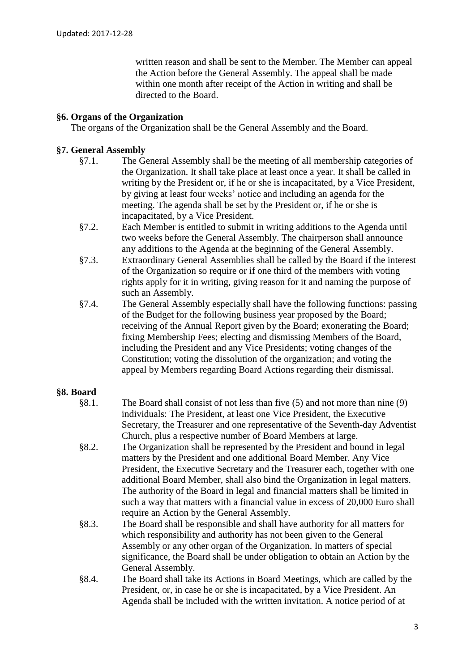written reason and shall be sent to the Member. The Member can appeal the Action before the General Assembly. The appeal shall be made within one month after receipt of the Action in writing and shall be directed to the Board.

## **§6. Organs of the Organization**

The organs of the Organization shall be the General Assembly and the Board.

## **§7. General Assembly**

- §7.1. The General Assembly shall be the meeting of all membership categories of the Organization. It shall take place at least once a year. It shall be called in writing by the President or, if he or she is incapacitated, by a Vice President, by giving at least four weeks' notice and including an agenda for the meeting. The agenda shall be set by the President or, if he or she is incapacitated, by a Vice President.
- §7.2. Each Member is entitled to submit in writing additions to the Agenda until two weeks before the General Assembly. The chairperson shall announce any additions to the Agenda at the beginning of the General Assembly.
- §7.3. Extraordinary General Assemblies shall be called by the Board if the interest of the Organization so require or if one third of the members with voting rights apply for it in writing, giving reason for it and naming the purpose of such an Assembly.
- §7.4. The General Assembly especially shall have the following functions: passing of the Budget for the following business year proposed by the Board; receiving of the Annual Report given by the Board; exonerating the Board; fixing Membership Fees; electing and dismissing Members of the Board, including the President and any Vice Presidents; voting changes of the Constitution; voting the dissolution of the organization; and voting the appeal by Members regarding Board Actions regarding their dismissal.

## **§8. Board**

- §8.1. The Board shall consist of not less than five (5) and not more than nine (9) individuals: The President, at least one Vice President, the Executive Secretary, the Treasurer and one representative of the Seventh-day Adventist Church, plus a respective number of Board Members at large.
- §8.2. The Organization shall be represented by the President and bound in legal matters by the President and one additional Board Member. Any Vice President, the Executive Secretary and the Treasurer each, together with one additional Board Member, shall also bind the Organization in legal matters. The authority of the Board in legal and financial matters shall be limited in such a way that matters with a financial value in excess of 20,000 Euro shall require an Action by the General Assembly.
- §8.3. The Board shall be responsible and shall have authority for all matters for which responsibility and authority has not been given to the General Assembly or any other organ of the Organization. In matters of special significance, the Board shall be under obligation to obtain an Action by the General Assembly.
- §8.4. The Board shall take its Actions in Board Meetings, which are called by the President, or, in case he or she is incapacitated, by a Vice President. An Agenda shall be included with the written invitation. A notice period of at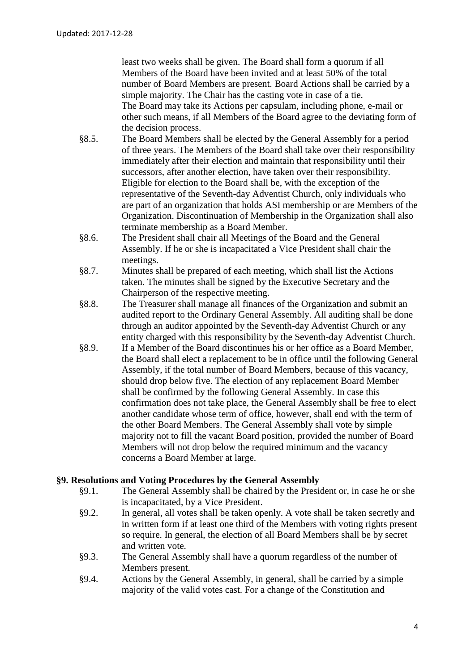least two weeks shall be given. The Board shall form a quorum if all Members of the Board have been invited and at least 50% of the total number of Board Members are present. Board Actions shall be carried by a simple majority. The Chair has the casting vote in case of a tie. The Board may take its Actions per capsulam, including phone, e-mail or other such means, if all Members of the Board agree to the deviating form of the decision process.

- §8.5. The Board Members shall be elected by the General Assembly for a period of three years. The Members of the Board shall take over their responsibility immediately after their election and maintain that responsibility until their successors, after another election, have taken over their responsibility. Eligible for election to the Board shall be, with the exception of the representative of the Seventh-day Adventist Church, only individuals who are part of an organization that holds ASI membership or are Members of the Organization. Discontinuation of Membership in the Organization shall also terminate membership as a Board Member.
- §8.6. The President shall chair all Meetings of the Board and the General Assembly. If he or she is incapacitated a Vice President shall chair the meetings.
- §8.7. Minutes shall be prepared of each meeting, which shall list the Actions taken. The minutes shall be signed by the Executive Secretary and the Chairperson of the respective meeting.
- §8.8. The Treasurer shall manage all finances of the Organization and submit an audited report to the Ordinary General Assembly. All auditing shall be done through an auditor appointed by the Seventh-day Adventist Church or any entity charged with this responsibility by the Seventh-day Adventist Church.
- §8.9. If a Member of the Board discontinues his or her office as a Board Member, the Board shall elect a replacement to be in office until the following General Assembly, if the total number of Board Members, because of this vacancy, should drop below five. The election of any replacement Board Member shall be confirmed by the following General Assembly. In case this confirmation does not take place, the General Assembly shall be free to elect another candidate whose term of office, however, shall end with the term of the other Board Members. The General Assembly shall vote by simple majority not to fill the vacant Board position, provided the number of Board Members will not drop below the required minimum and the vacancy concerns a Board Member at large.

#### **§9. Resolutions and Voting Procedures by the General Assembly**

- §9.1. The General Assembly shall be chaired by the President or, in case he or she is incapacitated, by a Vice President.
- §9.2. In general, all votes shall be taken openly. A vote shall be taken secretly and in written form if at least one third of the Members with voting rights present so require. In general, the election of all Board Members shall be by secret and written vote.
- §9.3. The General Assembly shall have a quorum regardless of the number of Members present.
- §9.4. Actions by the General Assembly, in general, shall be carried by a simple majority of the valid votes cast. For a change of the Constitution and